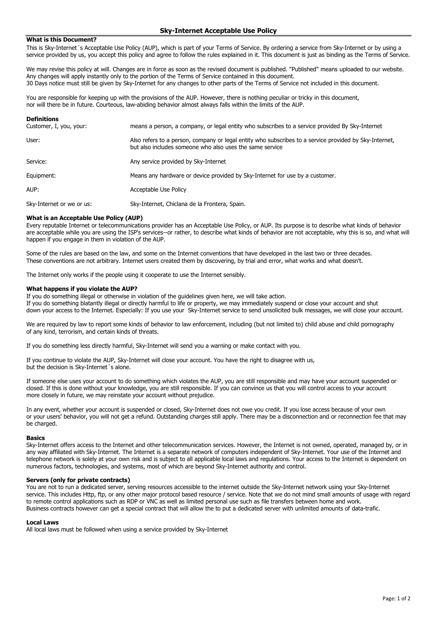## **Sky-Internet Acceptable Use Policy**

## **What is this Document?**

This is Sky-Internet´s Acceptable Use Policy (AUP), which is part of your Terms of Service. By ordering a service from Sky-Internet or by using a service provided by us, you accept this policy and agree to follow the rules explained in it. This document is just as binding as the Terms of Service.

We may revise this policy at will. Changes are in force as soon as the revised document is published. "Published" means uploaded to our website. Any changes will apply instantly only to the portion of the Terms of Service contained in this document. 30 Days notice must still be given by Sky-Internet for any changes to other parts of the Terms of Service not included in this document.

You are responsible for keeping up with the provisions of the AUP. However, there is nothing peculiar or tricky in this document, nor will there be in future. Courteous, law-abiding behavior almost always falls within the limits of the AUP.

| <b>Definitions</b>        |                                                                                                                                                                    |
|---------------------------|--------------------------------------------------------------------------------------------------------------------------------------------------------------------|
| Customer, I, you, your:   | means a person, a company, or legal entity who subscribes to a service provided By Sky-Internet                                                                    |
| User:                     | Also refers to a person, company or legal entity who subscribes to a service provided by Sky-Internet,<br>but also includes someone who also uses the same service |
| Service:                  | Any service provided by Sky-Internet                                                                                                                               |
| Equipment:                | Means any hardware or device provided by Sky-Internet for use by a customer.                                                                                       |
| AUP:                      | Acceptable Use Policy                                                                                                                                              |
| Sky-Internet or we or us: | Sky-Internet, Chiclana de la Frontera, Spain.                                                                                                                      |

## **What is an Acceptable Use Policy (AUP)**

Every reputable Internet or telecommunications provider has an Acceptable Use Policy, or AUP. Its purpose is to describe what kinds of behavior are acceptable while you are using the ISP's services--or rather, to describe what kinds of behavior are not acceptable, why this is so, and what will happen if you engage in them in violation of the AUP.

Some of the rules are based on the law, and some on the Internet conventions that have developed in the last two or three decades. These conventions are not arbitrary. Internet users created them by discovering, by trial and error, what works and what doesn't.

The Internet only works if the people using it cooperate to use the Internet sensibly.

#### **What happens if you violate the AUP?**

If you do something illegal or otherwise in violation of the guidelines given here, we will take action. If you do something blatantly illegal or directly harmful to life or property, we may immediately suspend or close your account and shut down your access to the Internet. Especially: If you use your Sky-Internet service to send unsolicited bulk messages, we will close your account.

We are required by law to report some kinds of behavior to law enforcement, including (but not limited to) child abuse and child pornography of any kind, terrorism, and certain kinds of threats.

If you do something less directly harmful, Sky-Internet will send you a warning or make contact with you.

If you continue to violate the AUP, Sky-Internet will close your account. You have the right to disagree with us, but the decision is Sky-Internet´s alone.

If someone else uses your account to do something which violates the AUP, you are still responsible and may have your account suspended or closed. If this is done without your knowledge, you are still responsible. If you can convince us that you will control access to your account more closely in future, we may reinstate your account without prejudice.

In any event, whether your account is suspended or closed, Sky-Internet does not owe you credit. If you lose access because of your own or your users' behavior, you will not get a refund. Outstanding charges still apply. There may be a disconnection and or reconnection fee that may be charged.

#### **Basics**

Sky-Internet offers access to the Internet and other telecommunication services. However, the Internet is not owned, operated, managed by, or in any way affiliated with Sky-Internet. The Internet is a separate network of computers independent of Sky-Internet. Your use of the Internet and telephone network is solely at your own risk and is subject to all applicable local laws and regulations. Your access to the Internet is dependent on numerous factors, technologies, and systems, most of which are beyond Sky-Internet authority and control.

#### **Servers (only for private contracts)**

You are not to run a dedicated server, serving resources accessible to the internet outside the Sky-Internet network using your Sky-Internet service. This includes Http, ftp, or any other major protocol based resource / service. Note that we do not mind small amounts of usage with regard to remote control applications such as RDP or VNC as well as limited personal use such as file transfers between home and work. Business contracts however can get a special contract that will allow the to put a dedicated server with unlimited amounts of data-trafic.

#### **Local Laws**

All local laws must be followed when using a service provided by Sky-Internet